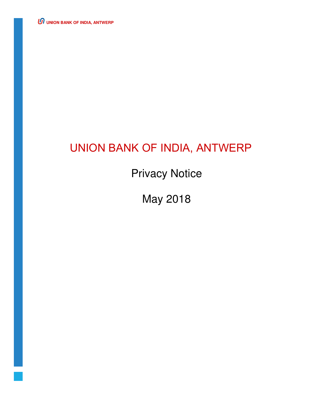**UNION BANK OF INDIA, ANTWERP** 

# UNION BANK OF INDIA, ANTWERP

Privacy Notice

May 2018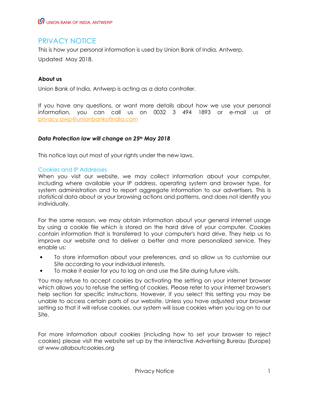# PRIVACY NOTICE

This is how your personal information is used by Union Bank of India, Antwerp.

Updated May 2018.

# **About us**

Union Bank of India, Antwerp is acting as a data controller.

If you have any questions, or want more details about how we use your personal information, you can call us on 0032 3 494 1893 or e-mail us at privacy.awp@unionbankofindia.com

#### *Data Protection law will change on 25th May 2018*

This notice lays out most of your rights under the new laws.

#### Cookies and IP Addresses

When you visit our website, we may collect information about your computer, including where available your IP address, operating system and browser type, for system administration and to report aggregate information to our advertisers. This is statistical data about or your browsing actions and patterns, and does not identify you individually.

For the same reason, we may obtain information about your general internet usage by using a cookie file which is stored on the hard drive of your computer. Cookies contain information that is transferred to your computer's hard drive. They help us to improve our website and to deliver a better and more personalized service. They enable us:

- To store information about your preferences, and so allow us to customise our Site according to your individual interests.
- To make it easier for you to log on and use the Site during future visits.

You may refuse to accept cookies by activating the setting on your internet browser which allows you to refuse the setting of cookies. Please refer to your internet browser's help section for specific instructions. However, if you select this setting you may be unable to access certain parts of our website. Unless you have adjusted your browser setting so that it will refuse cookies, our system will issue cookies when you log on to our Site.

For more information about cookies (including how to set your browser to reject cookies) please visit the website set up by the Interactive Advertising Bureau (Europe) at www.allaboutcookies.org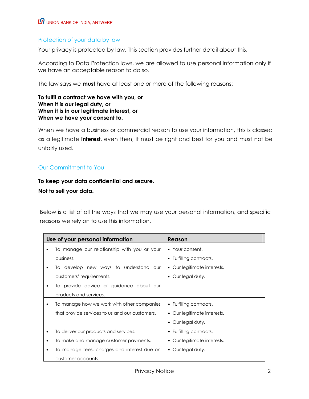# $\boldsymbol{\varOmega}$  UNION BANK OF INDIA, ANTWERP

## Protection of your data by law

Your privacy is protected by law. This section provides further detail about this.

According to Data Protection laws, we are allowed to use personal information only if we have an acceptable reason to do so.

The law says we **must** have at least one or more of the following reasons:

#### **To fulfil a contract we have with you, or When it is our legal duty, or When it is in our legitimate interest, or When we have your consent to.**

When we have a business or commercial reason to use your information, this is classed as a legitimate **interest**, even then, it must be right and best for you and must not be unfairly used.

# Our Commitment to You

# **To keep your data confidential and secure. Not to sell your data.**

Below is a list of all the ways that we may use your personal information, and specific reasons we rely on to use this information.

| Use of your personal information |                                                | Reason                      |
|----------------------------------|------------------------------------------------|-----------------------------|
|                                  | To manage our relationship with you or your    | • Your consent.             |
|                                  | business.                                      | • Fulfilling contracts.     |
|                                  | To develop new ways to understand our          | • Our legitimate interests. |
|                                  | customers' requirements.                       | • Our legal duty.           |
| ٠                                | To provide advice or guidance about our        |                             |
|                                  | products and services.                         |                             |
|                                  | To manage how we work with other companies     | • Fulfilling contracts.     |
|                                  | that provide services to us and our customers. | • Our legitimate interests. |
|                                  |                                                | • Our legal duty.           |
|                                  | To deliver our products and services.          | • Fulfilling contracts.     |
|                                  | To make and manage customer payments.          | • Our legitimate interests. |
| ٠                                | To manage fees, charges and interest due on    | • Our legal duty.           |
|                                  | customer accounts.                             |                             |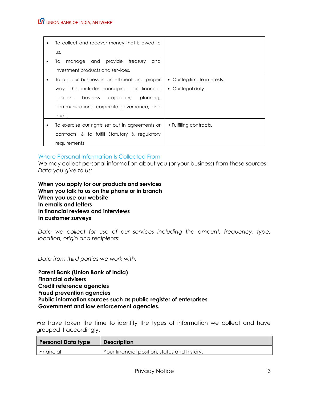# $\bm{\varOmega}$  UNION BANK OF INDIA, ANTWERP

| $\bullet$ | To collect and recover money that is owed to      |                             |
|-----------|---------------------------------------------------|-----------------------------|
|           | US.                                               |                             |
| ٠         | manage and provide treasury<br>To<br>and          |                             |
|           | investment products and services.                 |                             |
| ٠         | To run our business in an efficient and proper    | • Our legitimate interests. |
|           | way. This includes managing our financial         | • Our legal duty.           |
|           | position,<br>business<br>capability,<br>planning, |                             |
|           | communications, corporate governance, and         |                             |
|           | audit.                                            |                             |
| ٠         | To exercise our rights set out in agreements or   | • Fulfilling contracts.     |
|           | contracts, & to fulfill Statutory & regulatory    |                             |
|           | requirements                                      |                             |

#### Where Personal Information Is Collected From

We may collect personal information about you (or your business) from these sources: *Data you give to us:* 

**When you apply for our products and services When you talk to us on the phone or in branch When you use our website In emails and letters In financial reviews and interviews In customer surveys** 

*Data we collect for use of our services including the amount, frequency, type, location, origin and recipients:* 

*Data from third parties we work with:* 

**Parent Bank (Union Bank of India) Financial advisers Credit reference agencies Fraud prevention agencies Public information sources such as public register of enterprises Government and law enforcement agencies.** 

We have taken the time to identify the types of information we collect and have grouped it accordingly.

| <b>Personal Data type</b> | <b>Description</b>                           |
|---------------------------|----------------------------------------------|
| Financial                 | Your financial position, status and history. |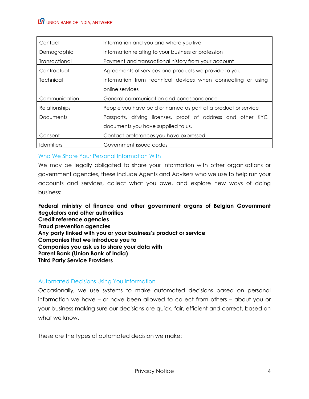| Contact              | Information and you and where you live                        |
|----------------------|---------------------------------------------------------------|
| Demographic          | Information relating to your business or profession           |
| Transactional        | Payment and transactional history from your account           |
| Contractual          | Agreements of services and products we provide to you         |
| Technical            | Information from technical devices when connecting or using   |
|                      | online services                                               |
| Communication        | General communication and correspondence                      |
| <b>Relationships</b> | People you have paid or named as part of a product or service |
| <b>Documents</b>     | Passports, driving licenses, proof of address and other KYC   |
|                      | documents you have supplied to us.                            |
| Consent              | Contact preferences you have expressed                        |
| <b>Identifiers</b>   | Government issued codes                                       |

Who We Share Your Personal Information With

We may be legally obligated to share your information with other organisations or government agencies, these include Agents and Advisers who we use to help run your accounts and services, collect what you owe, and explore new ways of doing business:

**Federal ministry of finance and other government organs of Belgian Government Regulators and other authorities Credit reference agencies Fraud prevention agencies Any party linked with you or your business's product or service Companies that we introduce you to Companies you ask us to share your data with Parent Bank (Union Bank of India) Third Party Service Providers** 

#### Automated Decisions Using You Information

Occasionally, we use systems to make automated decisions based on personal information we have – or have been allowed to collect from others – about you or your business making sure our decisions are quick, fair, efficient and correct, based on what we know.

These are the types of automated decision we make: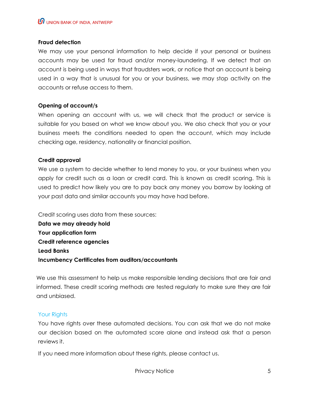#### **Fraud detection**

We may use your personal information to help decide if your personal or business accounts may be used for fraud and/or money-laundering. If we detect that an account is being used in ways that fraudsters work, or notice that an account is being used in a way that is unusual for you or your business, we may stop activity on the accounts or refuse access to them.

#### **Opening of account/s**

When opening an account with us, we will check that the product or service is suitable for you based on what we know about you. We also check that you or your business meets the conditions needed to open the account, which may include checking age, residency, nationality or financial position.

#### **Credit approval**

We use a system to decide whether to lend money to you, or your business when you apply for credit such as a loan or credit card. This is known as credit scoring. This is used to predict how likely you are to pay back any money you borrow by looking at your past data and similar accounts you may have had before.

Credit scoring uses data from these sources: **Data we may already hold Your application form Credit reference agencies Lead Banks Incumbency Certificates from auditors/accountants** 

We use this assessment to help us make responsible lending decisions that are fair and informed. These credit scoring methods are tested regularly to make sure they are fair and unbiased.

#### Your Rights

You have rights over these automated decisions. You can ask that we do not make our decision based on the automated score alone and instead ask that a person reviews it.

If you need more information about these rights, please contact us.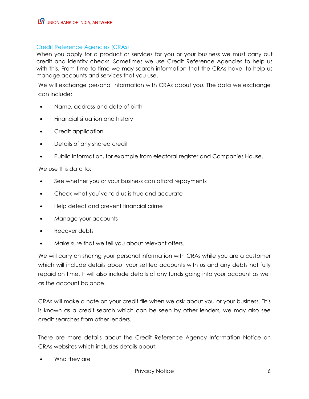#### Credit Reference Agencies (CRAs)

When you apply for a product or services for you or your business we must carry out credit and identity checks. Sometimes we use Credit Reference Agencies to help us with this. From time to time we may search information that the CRAs have, to help us manage accounts and services that you use.

We will exchange personal information with CRAs about you. The data we exchange can include:

- Name, address and date of birth
- Financial situation and history
- Credit application
- Details of any shared credit
- Public information, for example from electoral register and Companies House.

We use this data to:

- See whether you or your business can afford repayments
- Check what you've told us is true and accurate
- Help detect and prevent financial crime
- Manage your accounts
- Recover debts
- Make sure that we tell you about relevant offers.

We will carry on sharing your personal information with CRAs while you are a customer which will include details about your settled accounts with us and any debts not fully repaid on time. It will also include details of any funds going into your account as well as the account balance.

CRAs will make a note on your credit file when we ask about you or your business. This is known as a credit search which can be seen by other lenders, we may also see credit searches from other lenders.

There are more details about the Credit Reference Agency Information Notice on CRAs websites which includes details about:

• Who they are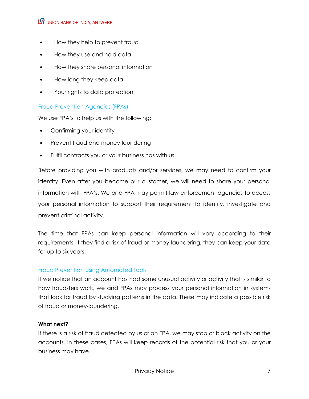## $\bm{\varOmega}$  UNION BANK OF INDIA, ANTWERP

- How they help to prevent fraud
- How they use and hold data
- How they share personal information
- How long they keep data
- Your rights to data protection

#### Fraud Prevention Agencies (FPAs)

We use FPA's to help us with the following:

- Confirming your identity
- Prevent fraud and money-laundering
- Fulfil contracts you or your business has with us.

Before providing you with products and/or services, we may need to confirm your identity. Even after you become our customer, we will need to share your personal information with FPA's. We or a FPA may permit law enforcement agencies to access your personal information to support their requirement to identify, investigate and prevent criminal activity.

The time that FPAs can keep personal information will vary according to their requirements. If they find a risk of fraud or money-laundering, they can keep your data for up to six years.

#### Fraud Prevention Using Automated Tools

If we notice that an account has had some unusual activity or activity that is similar to how fraudsters work, we and FPAs may process your personal information in systems that look for fraud by studying patterns in the data. These may indicate a possible risk of fraud or money-laundering.

#### **What next?**

If there is a risk of fraud detected by us or an FPA, we may stop or block activity on the accounts. In these cases, FPAs will keep records of the potential risk that you or your business may have.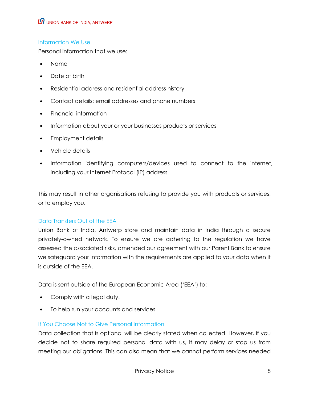# Information We Use

Personal information that we use:

- Name
- Date of birth
- Residential address and residential address history
- Contact details: email addresses and phone numbers
- Financial information
- Information about your or your businesses products or services
- Employment details
- Vehicle details
- Information identifying computers/devices used to connect to the internet, including your Internet Protocol (IP) address.

This may result in other organisations refusing to provide you with products or services, or to employ you.

#### Data Transfers Out of the EEA

Union Bank of India, Antwerp store and maintain data in India through a secure privately-owned network. To ensure we are adhering to the regulation we have assessed the associated risks, amended our agreement with our Parent Bank to ensure we safeguard your information with the requirements are applied to your data when it is outside of the EEA.

Data is sent outside of the European Economic Area ('EEA') to:

- Comply with a legal duty.
- To help run your accounts and services

#### If You Choose Not to Give Personal Information

Data collection that is optional will be clearly stated when collected. However, if you decide not to share required personal data with us, it may delay or stop us from meeting our obligations. This can also mean that we cannot perform services needed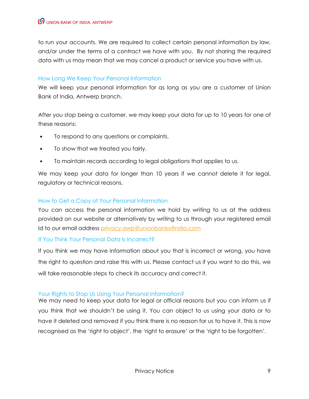to run your accounts. We are required to collect certain personal information by law, and/or under the terms of a contract we have with you. By not sharing the required data with us may mean that we may cancel a product or service you have with us.

## How Long We Keep Your Personal Information

We will keep your personal information for as long as you are a customer of Union Bank of India, Antwerp branch.

After you stop being a customer, we may keep your data for up to 10 years for one of these reasons:

- To respond to any questions or complaints.
- To show that we treated you fairly.
- To maintain records according to legal obligations that applies to us.

We may keep your data for longer than 10 years if we cannot delete it for legal, regulatory or technical reasons.

# How to Get a Copy of Your Personal Information

You can access the personal information we hold by writing to us at the address provided on our website or alternatively by writing to us through your registered email Id to our email address privacy.awp@unionbankofindia.com

#### If You Think Your Personal Data Is Incorrect?

If you think we may have information about you that is incorrect or wrong, you have the right to question and raise this with us. Please contact us if you want to do this, we will take reasonable steps to check its accuracy and correct it.

#### Your Rights to Stop Us Using Your Personal Information?

We may need to keep your data for legal or official reasons but you can inform us if you think that we shouldn't be using it. You can object to us using your data or to have it deleted and removed if you think there is no reason for us to have it. This is now recognised as the 'right to object', the 'right to erasure' or the 'right to be forgotten'.